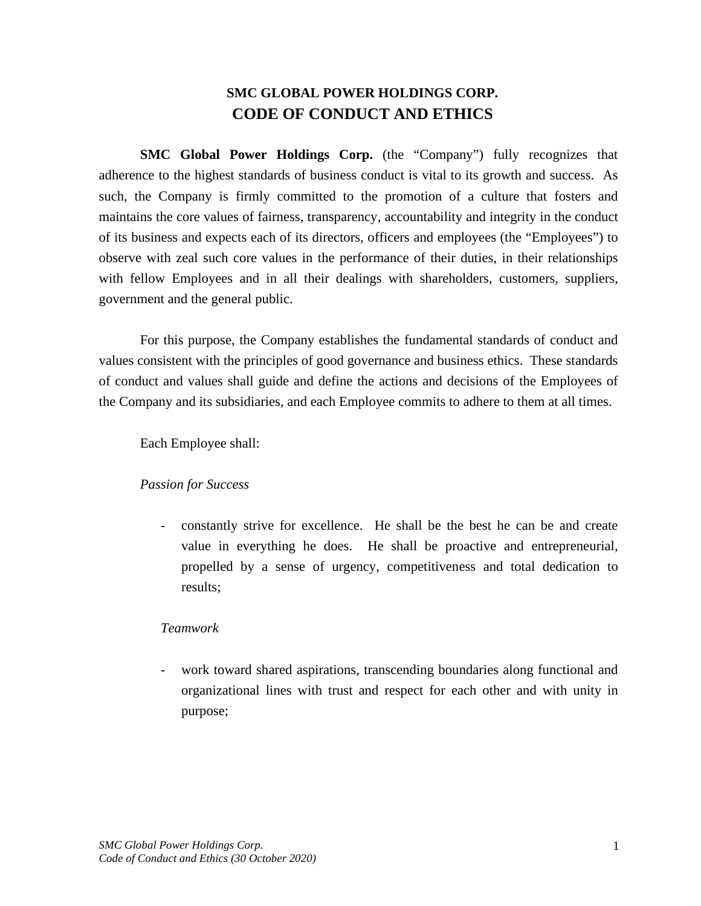# **SMC GLOBAL POWER HOLDINGS CORP. CODE OF CONDUCT AND ETHICS**

**SMC Global Power Holdings Corp.** (the "Company") fully recognizes that adherence to the highest standards of business conduct is vital to its growth and success. As such, the Company is firmly committed to the promotion of a culture that fosters and maintains the core values of fairness, transparency, accountability and integrity in the conduct of its business and expects each of its directors, officers and employees (the "Employees") to observe with zeal such core values in the performance of their duties, in their relationships with fellow Employees and in all their dealings with shareholders, customers, suppliers, government and the general public.

For this purpose, the Company establishes the fundamental standards of conduct and values consistent with the principles of good governance and business ethics. These standards of conduct and values shall guide and define the actions and decisions of the Employees of the Company and its subsidiaries, and each Employee commits to adhere to them at all times.

Each Employee shall:

### *Passion for Success*

- constantly strive for excellence. He shall be the best he can be and create value in everything he does. He shall be proactive and entrepreneurial, propelled by a sense of urgency, competitiveness and total dedication to results;

### *Teamwork*

work toward shared aspirations, transcending boundaries along functional and organizational lines with trust and respect for each other and with unity in purpose;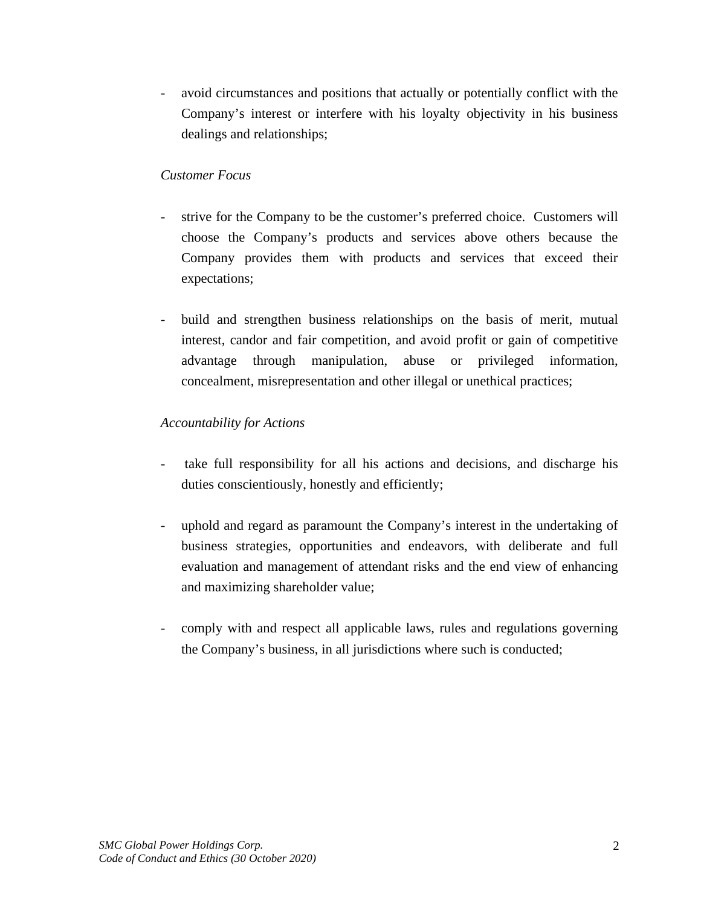- avoid circumstances and positions that actually or potentially conflict with the Company's interest or interfere with his loyalty objectivity in his business dealings and relationships;

### *Customer Focus*

- strive for the Company to be the customer's preferred choice. Customers will choose the Company's products and services above others because the Company provides them with products and services that exceed their expectations;
- build and strengthen business relationships on the basis of merit, mutual interest, candor and fair competition, and avoid profit or gain of competitive advantage through manipulation, abuse or privileged information, concealment, misrepresentation and other illegal or unethical practices;

## *Accountability for Actions*

- take full responsibility for all his actions and decisions, and discharge his duties conscientiously, honestly and efficiently;
- uphold and regard as paramount the Company's interest in the undertaking of business strategies, opportunities and endeavors, with deliberate and full evaluation and management of attendant risks and the end view of enhancing and maximizing shareholder value;
- comply with and respect all applicable laws, rules and regulations governing the Company's business, in all jurisdictions where such is conducted;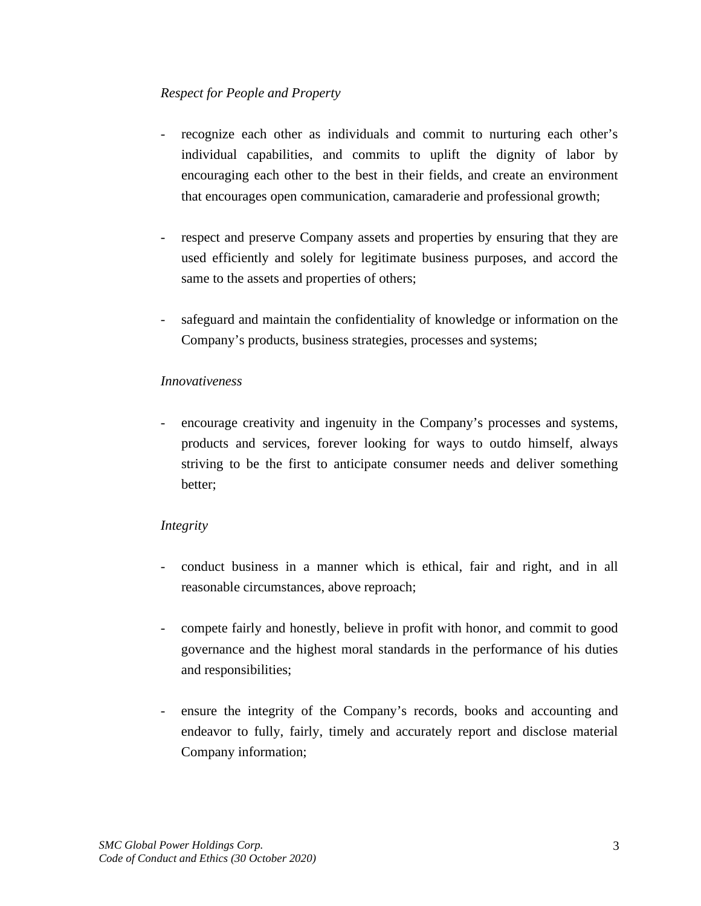## *Respect for People and Property*

- recognize each other as individuals and commit to nurturing each other's individual capabilities, and commits to uplift the dignity of labor by encouraging each other to the best in their fields, and create an environment that encourages open communication, camaraderie and professional growth;
- respect and preserve Company assets and properties by ensuring that they are used efficiently and solely for legitimate business purposes, and accord the same to the assets and properties of others;
- safeguard and maintain the confidentiality of knowledge or information on the Company's products, business strategies, processes and systems;

### *Innovativeness*

- encourage creativity and ingenuity in the Company's processes and systems, products and services, forever looking for ways to outdo himself, always striving to be the first to anticipate consumer needs and deliver something better;

## *Integrity*

- conduct business in a manner which is ethical, fair and right, and in all reasonable circumstances, above reproach;
- compete fairly and honestly, believe in profit with honor, and commit to good governance and the highest moral standards in the performance of his duties and responsibilities;
- ensure the integrity of the Company's records, books and accounting and endeavor to fully, fairly, timely and accurately report and disclose material Company information;